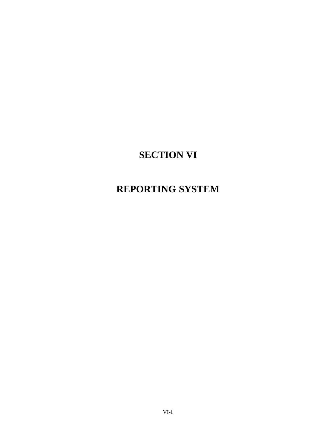# **SECTION VI**

# **REPORTING SYSTEM**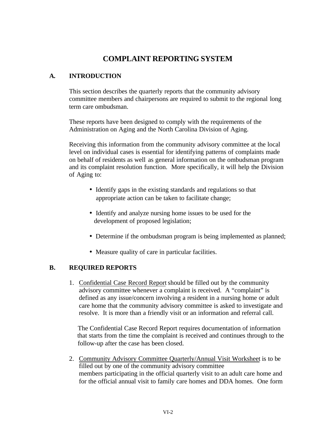## **COMPLAINT REPORTING SYSTEM**

### **A. INTRODUCTION**

This section describes the quarterly reports that the community advisory committee members and chairpersons are required to submit to the regional long term care ombudsman.

These reports have been designed to comply with the requirements of the Administration on Aging and the North Carolina Division of Aging.

Receiving this information from the community advisory committee at the local level on individual cases is essential for identifying patterns of complaints made on behalf of residents as well as general information on the ombudsman program and its complaint resolution function. More specifically, it will help the Division of Aging to:

- Identify gaps in the existing standards and regulations so that appropriate action can be taken to facilitate change;
- Identify and analyze nursing home issues to be used for the development of proposed legislation;
- Determine if the ombudsman program is being implemented as planned;
- Measure quality of care in particular facilities.

### **B. REQUIRED REPORTS**

1. Confidential Case Record Report should be filled out by the community advisory committee whenever a complaint is received. A "complaint" is defined as any issue/concern involving a resident in a nursing home or adult care home that the community advisory committee is asked to investigate and resolve. It is more than a friendly visit or an information and referral call.

 The Confidential Case Record Report requires documentation of information that starts from the time the complaint is received and continues through to the follow-up after the case has been closed.

2. Community Advisory Committee Quarterly/Annual Visit Worksheet is to be filled out by one of the community advisory committee members participating in the official quarterly visit to an adult care home and for the official annual visit to family care homes and DDA homes. One form